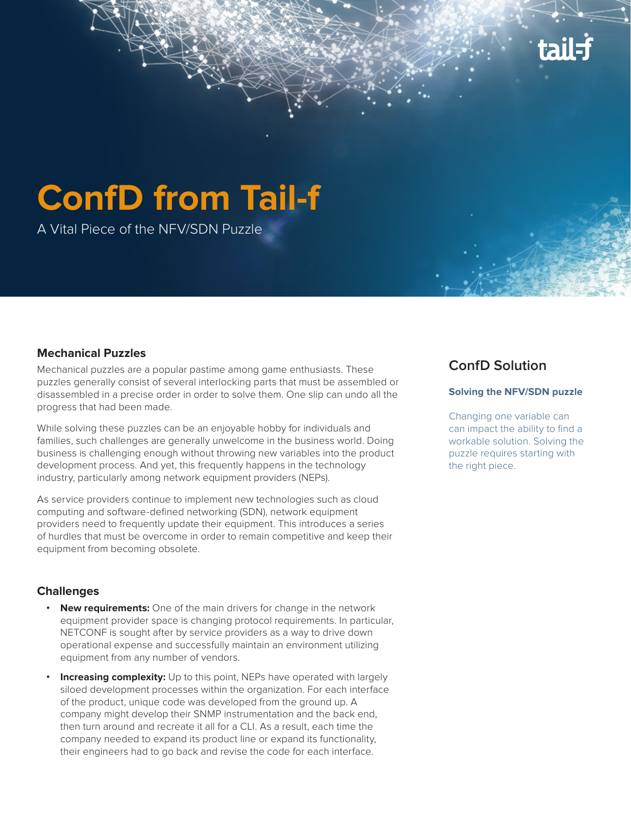

# **ConfD from Tail-f**

A Vital Piece of the NFV/SDN Puzzle

#### **Mechanical Puzzles**

Mechanical puzzles are a popular pastime among game enthusiasts. These puzzles generally consist of several interlocking parts that must be assembled or disassembled in a precise order in order to solve them. One slip can undo all the progress that had been made.

While solving these puzzles can be an enjoyable hobby for individuals and families, such challenges are generally unwelcome in the business world. Doing business is challenging enough without throwing new variables into the product development process. And yet, this frequently happens in the technology industry, particularly among network equipment providers (NEPs).

As service providers continue to implement new technologies such as cloud computing and software-defined networking (SDN), network equipment providers need to frequently update their equipment. This introduces a series of hurdles that must be overcome in order to remain competitive and keep their equipment from becoming obsolete.

#### **Challenges**

- **• New requirements:** One of the main drivers for change in the network equipment provider space is changing protocol requirements. In particular, NETCONF is sought after by service providers as a way to drive down operational expense and successfully maintain an environment utilizing equipment from any number of vendors.
- **Increasing complexity:** Up to this point, NEPs have operated with largely siloed development processes within the organization. For each interface of the product, unique code was developed from the ground up. A company might develop their SNMP instrumentation and the back end, then turn around and recreate it all for a CLI. As a result, each time the company needed to expand its product line or expand its functionality, their engineers had to go back and revise the code for each interface.

## **ConfD Solution**

#### **Solving the NFV/SDN puzzle**

Changing one variable can can impact the ability to find a workable solution. Solving the puzzle requires starting with the right piece.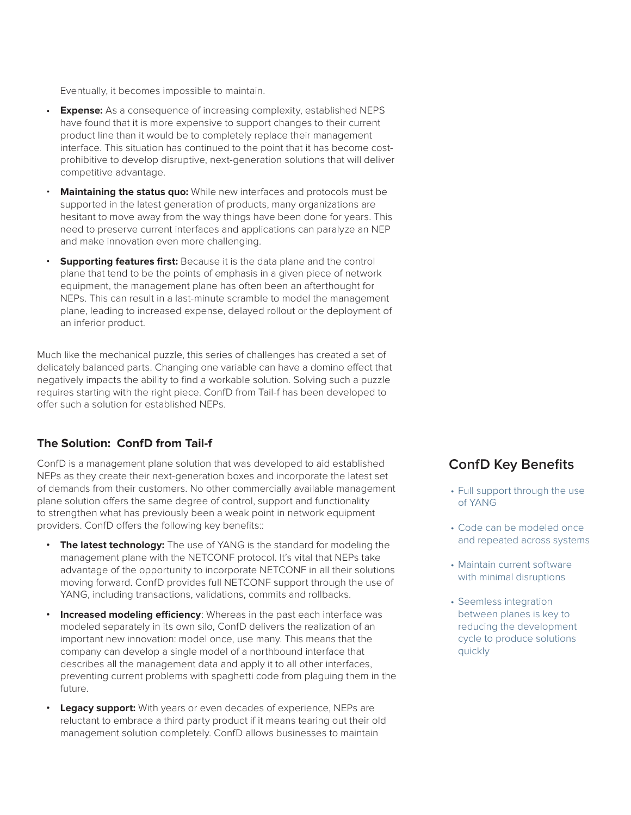Eventually, it becomes impossible to maintain.

- **Expense:** As a consequence of increasing complexity, established NEPS have found that it is more expensive to support changes to their current product line than it would be to completely replace their management interface. This situation has continued to the point that it has become costprohibitive to develop disruptive, next-generation solutions that will deliver competitive advantage.
- **Maintaining the status quo:** While new interfaces and protocols must be supported in the latest generation of products, many organizations are hesitant to move away from the way things have been done for years. This need to preserve current interfaces and applications can paralyze an NEP and make innovation even more challenging.
- **Supporting features first:** Because it is the data plane and the control plane that tend to be the points of emphasis in a given piece of network equipment, the management plane has often been an afterthought for NEPs. This can result in a last-minute scramble to model the management plane, leading to increased expense, delayed rollout or the deployment of an inferior product.

Much like the mechanical puzzle, this series of challenges has created a set of delicately balanced parts. Changing one variable can have a domino effect that negatively impacts the ability to find a workable solution. Solving such a puzzle requires starting with the right piece. ConfD from Tail-f has been developed to offer such a solution for established NEPs.

#### **The Solution: ConfD from Tail-f**

ConfD is a management plane solution that was developed to aid established NEPs as they create their next-generation boxes and incorporate the latest set of demands from their customers. No other commercially available management plane solution offers the same degree of control, support and functionality to strengthen what has previously been a weak point in network equipment providers. ConfD offers the following key benefits::

- **The latest technology:** The use of YANG is the standard for modeling the management plane with the NETCONF protocol. It's vital that NEPs take advantage of the opportunity to incorporate NETCONF in all their solutions moving forward. ConfD provides full NETCONF support through the use of YANG, including transactions, validations, commits and rollbacks.
- **• Increased modeling efficiency**: Whereas in the past each interface was modeled separately in its own silo, ConfD delivers the realization of an important new innovation: model once, use many. This means that the company can develop a single model of a northbound interface that describes all the management data and apply it to all other interfaces, preventing current problems with spaghetti code from plaguing them in the future.
- **• Legacy support:** With years or even decades of experience, NEPs are reluctant to embrace a third party product if it means tearing out their old management solution completely. ConfD allows businesses to maintain

### **ConfD Key Benefits**

- Full support through the use of YANG
- Code can be modeled once and repeated across systems
- Maintain current software with minimal disruptions
- Seemless integration between planes is key to reducing the development cycle to produce solutions quickly